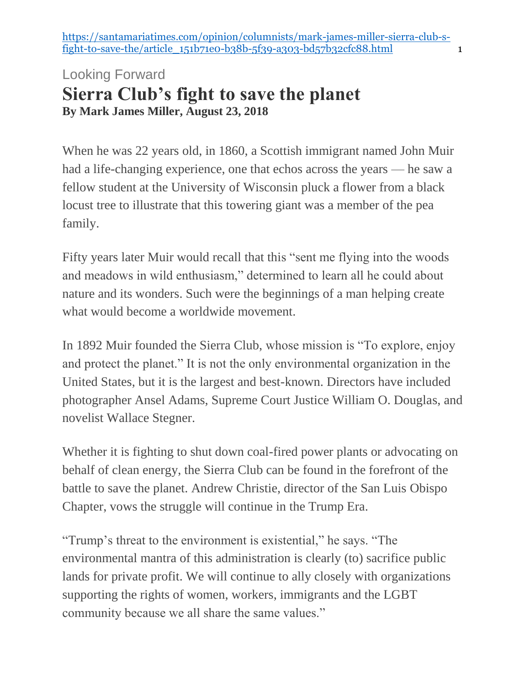[https://santamariatimes.com/opinion/columnists/mark-james-miller-sierra-club-s](https://santamariatimes.com/opinion/columnists/mark-james-miller-sierra-club-s-fight-to-save-the/article_151b71e0-b38b-5f39-a303-bd57b32cfc88.html)[fight-to-save-the/article\\_151b71e0-b38b-5f39-a303-bd57b32cfc88.html](https://santamariatimes.com/opinion/columnists/mark-james-miller-sierra-club-s-fight-to-save-the/article_151b71e0-b38b-5f39-a303-bd57b32cfc88.html) 1

## Looking Forward **Sierra Club's fight to save the planet By Mark James Miller, August 23, 2018**

When he was 22 years old, in 1860, a Scottish immigrant named John Muir had a life-changing experience, one that echos across the years — he saw a fellow student at the University of Wisconsin pluck a flower from a black locust tree to illustrate that this towering giant was a member of the pea family.

Fifty years later Muir would recall that this "sent me flying into the woods and meadows in wild enthusiasm," determined to learn all he could about nature and its wonders. Such were the beginnings of a man helping create what would become a worldwide movement.

In 1892 Muir founded the Sierra Club, whose mission is "To explore, enjoy and protect the planet." It is not the only environmental organization in the United States, but it is the largest and best-known. Directors have included photographer Ansel Adams, Supreme Court Justice William O. Douglas, and novelist Wallace Stegner.

Whether it is fighting to shut down coal-fired power plants or advocating on behalf of clean energy, the Sierra Club can be found in the forefront of the battle to save the planet. Andrew Christie, director of the San Luis Obispo Chapter, vows the struggle will continue in the Trump Era.

"Trump's threat to the environment is existential," he says. "The environmental mantra of this administration is clearly (to) sacrifice public lands for private profit. We will continue to ally closely with organizations supporting the rights of women, workers, immigrants and the LGBT community because we all share the same values."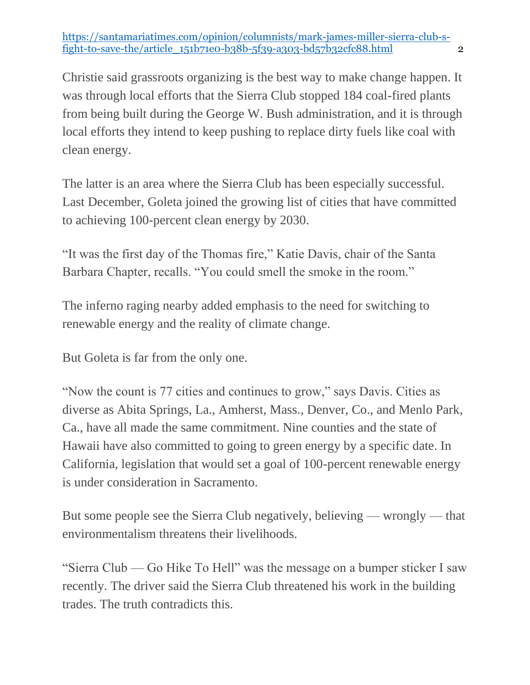[https://santamariatimes.com/opinion/columnists/mark-james-miller-sierra-club-s](https://santamariatimes.com/opinion/columnists/mark-james-miller-sierra-club-s-fight-to-save-the/article_151b71e0-b38b-5f39-a303-bd57b32cfc88.html)[fight-to-save-the/article\\_151b71e0-b38b-5f39-a303-bd57b32cfc88.html](https://santamariatimes.com/opinion/columnists/mark-james-miller-sierra-club-s-fight-to-save-the/article_151b71e0-b38b-5f39-a303-bd57b32cfc88.html) 2

Christie said grassroots organizing is the best way to make change happen. It was through local efforts that the Sierra Club stopped 184 coal-fired plants from being built during the George W. Bush administration, and it is through local efforts they intend to keep pushing to replace dirty fuels like coal with clean energy.

The latter is an area where the Sierra Club has been especially successful. Last December, Goleta joined the growing list of cities that have committed to achieving 100-percent clean energy by 2030.

"It was the first day of the Thomas fire," Katie Davis, chair of the Santa Barbara Chapter, recalls. "You could smell the smoke in the room."

The inferno raging nearby added emphasis to the need for switching to renewable energy and the reality of climate change.

But Goleta is far from the only one.

"Now the count is 77 cities and continues to grow," says Davis. Cities as diverse as Abita Springs, La., Amherst, Mass., Denver, Co., and Menlo Park, Ca., have all made the same commitment. Nine counties and the state of Hawaii have also committed to going to green energy by a specific date. In California, legislation that would set a goal of 100-percent renewable energy is under consideration in Sacramento.

But some people see the Sierra Club negatively, believing — wrongly — that environmentalism threatens their livelihoods.

"Sierra Club — Go Hike To Hell" was the message on a bumper sticker I saw recently. The driver said the Sierra Club threatened his work in the building trades. The truth contradicts this.